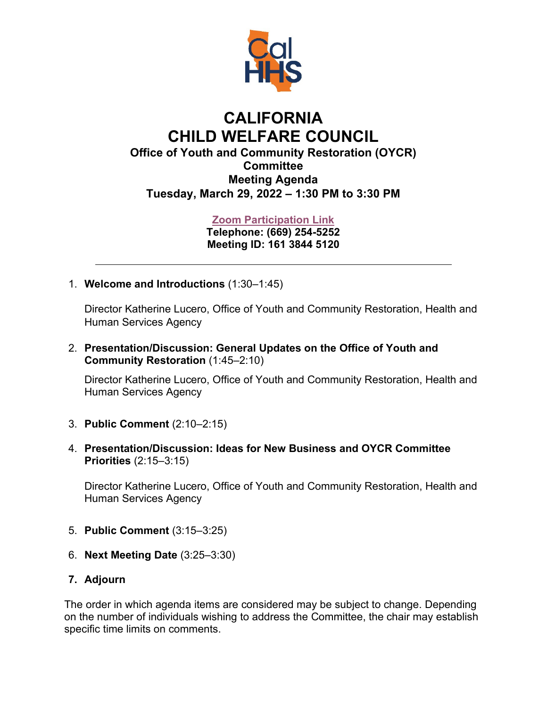

## **CALIFORNIA CHILD WELFARE COUNCIL Office of Youth and Community Restoration (OYCR) Committee Meeting Agenda Tuesday, March 29, 2022 – 1:30 PM to 3:30 PM**

## **[Zoom Participation Link](https://www.zoomgov.com/j/16138445120)**

**Telephone: (669) 254-5252 Meeting ID: 161 3844 5120**

1. **Welcome and Introductions** (1:30–1:45)

Director Katherine Lucero, Office of Youth and Community Restoration, Health and Human Services Agency

2. **Presentation/Discussion: General Updates on the Office of Youth and Community Restoration** (1:45–2:10)

Director Katherine Lucero, Office of Youth and Community Restoration, Health and Human Services Agency

- 3. **Public Comment** (2:10–2:15)
- 4. **Presentation/Discussion: Ideas for New Business and OYCR Committee Priorities** (2:15–3:15)

Director Katherine Lucero, Office of Youth and Community Restoration, Health and Human Services Agency

- 5. **Public Comment** (3:15–3:25)
- 6. **Next Meeting Date** (3:25–3:30)

## **7. Adjourn**

The order in which agenda items are considered may be subject to change. Depending on the number of individuals wishing to address the Committee, the chair may establish specific time limits on comments.